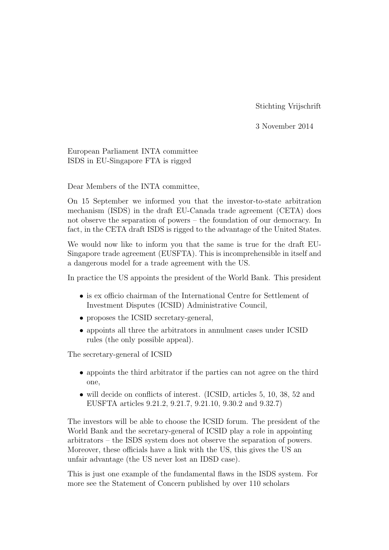Stichting Vrijschrift

3 November 2014

European Parliament INTA committee ISDS in EU-Singapore FTA is rigged

Dear Members of the INTA committee,

On 15 September we informed you that the investor-to-state arbitration mechanism (ISDS) in the draft EU-Canada trade agreement (CETA) does not observe the separation of powers – the foundation of our democracy. In fact, in the CETA draft ISDS is rigged to the advantage of the United States.

We would now like to inform you that the same is true for the draft EU-Singapore trade agreement (EUSFTA). This is incomprehensible in itself and a dangerous model for a trade agreement with the US.

In practice the US appoints the president of the World Bank. This president

- is ex officio chairman of the International Centre for Settlement of Investment Disputes (ICSID) Administrative Council,
- proposes the ICSID secretary-general,
- appoints all three the arbitrators in annulment cases under ICSID rules (the only possible appeal).

The secretary-general of ICSID

- appoints the third arbitrator if the parties can not agree on the third one,
- will decide on conflicts of interest. (ICSID, articles 5, 10, 38, 52 and EUSFTA articles 9.21.2, 9.21.7, 9.21.10, 9.30.2 and 9.32.7)

The investors will be able to choose the ICSID forum. The president of the World Bank and the secretary-general of ICSID play a role in appointing arbitrators – the ISDS system does not observe the separation of powers. Moreover, these officials have a link with the US, this gives the US an unfair advantage (the US never lost an IDSD case).

This is just one example of the fundamental flaws in the ISDS system. For more see the Statement of Concern published by over 110 scholars